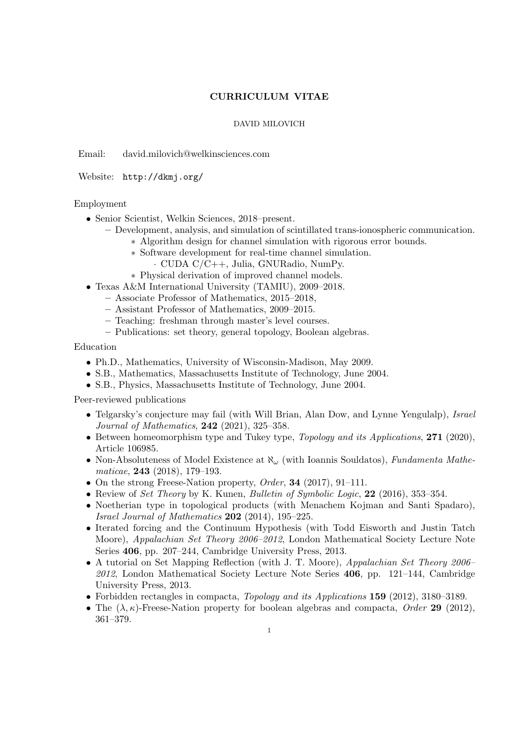## CURRICULUM VITAE

## DAVID MILOVICH

Email: david.milovich@welkinsciences.com

Website: http://dkmj.org/

## Employment

- Senior Scientist, Welkin Sciences, 2018–present.
	- Development, analysis, and simulation of scintillated trans-ionospheric communication.
		- ∗ Algorithm design for channel simulation with rigorous error bounds.
		- ∗ Software development for real-time channel simulation.
			- · CUDA C/C++, Julia, GNURadio, NumPy.
		- ∗ Physical derivation of improved channel models.
- Texas A&M International University (TAMIU), 2009–2018.
	- Associate Professor of Mathematics, 2015–2018,
	- Assistant Professor of Mathematics, 2009–2015.
	- Teaching: freshman through master's level courses.
	- Publications: set theory, general topology, Boolean algebras.

Education

- Ph.D., Mathematics, University of Wisconsin-Madison, May 2009.
- S.B., Mathematics, Massachusetts Institute of Technology, June 2004.
- S.B., Physics, Massachusetts Institute of Technology, June 2004.

Peer-reviewed publications

- Telgarsky's conjecture may fail (with Will Brian, Alan Dow, and Lynne Yengulalp), *Israel* Journal of Mathematics, 242 (2021), 325–358.
- Between homeomorphism type and Tukey type, Topology and its Applications, 271 (2020), Article 106985.
- Non-Absoluteness of Model Existence at  $\aleph_{\omega}$  (with Ioannis Souldatos), Fundamenta Mathematicae, 243 (2018), 179–193.
- On the strong Freese-Nation property, *Order*, **34** (2017), 91–111.
- Review of Set Theory by K. Kunen, Bulletin of Symbolic Logic, 22 (2016), 353-354.
- Noetherian type in topological products (with Menachem Kojman and Santi Spadaro), *Israel Journal of Mathematics*  $202$  (2014), 195-225.
- Iterated forcing and the Continuum Hypothesis (with Todd Eisworth and Justin Tatch Moore), *Appalachian Set Theory 2006–2012*, London Mathematical Society Lecture Note Series 406, pp. 207–244, Cambridge University Press, 2013.
- A tutorial on Set Mapping Reflection (with J. T. Moore), Appalachian Set Theory 2006–  $2012$ , London Mathematical Society Lecture Note Series  $406$ , pp. 121–144, Cambridge University Press, 2013.
- Forbidden rectangles in compacta, Topology and its Applications 159 (2012), 3180–3189.
- The  $(\lambda, \kappa)$ -Freese-Nation property for boolean algebras and compacta, Order 29 (2012), 361–379.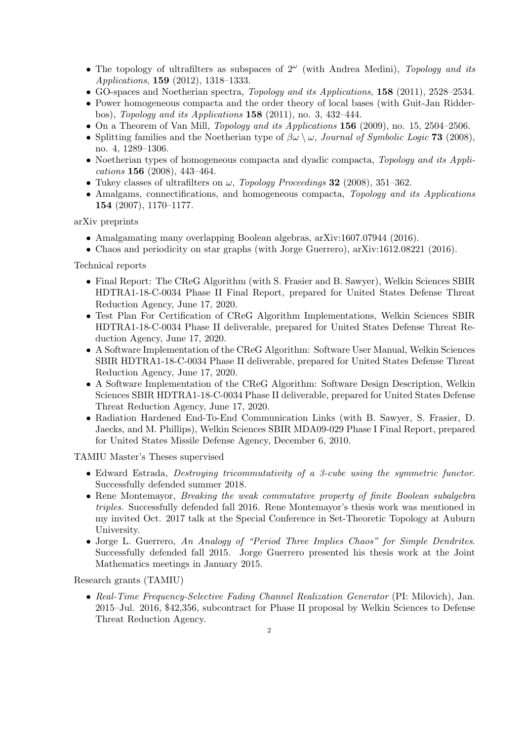- The topology of ultrafilters as subspaces of  $2^{\omega}$  (with Andrea Medini), Topology and its Applications, 159 (2012), 1318–1333.
- GO-spaces and Noetherian spectra, Topology and its Applications, 158 (2011), 2528–2534.
- Power homogeneous compacta and the order theory of local bases (with Guit-Jan Ridderbos), Topology and its Applications 158 (2011), no. 3, 432–444.
- On a Theorem of Van Mill, *Topology and its Applications* 156 (2009), no. 15, 2504–2506.
- Splitting families and the Noetherian type of  $\beta\omega \setminus \omega$ , Journal of Symbolic Logic 73 (2008), no. 4, 1289–1306.
- Noetherian types of homogeneous compacta and dyadic compacta, Topology and its Applications 156 (2008), 443–464.
- Tukey classes of ultrafilters on  $\omega$ , *Topology Proceedings* 32 (2008), 351–362.
- Amalgams, connectifications, and homogeneous compacta, Topology and its Applications 154 (2007), 1170–1177.

arXiv preprints

- Amalgamating many overlapping Boolean algebras, arXiv:1607.07944 (2016).
- Chaos and periodicity on star graphs (with Jorge Guerrero), arXiv:1612.08221 (2016).

Technical reports

- Final Report: The CReG Algorithm (with S. Frasier and B. Sawyer), Welkin Sciences SBIR HDTRA1-18-C-0034 Phase II Final Report, prepared for United States Defense Threat Reduction Agency, June 17, 2020.
- Test Plan For Certification of CReG Algorithm Implementations, Welkin Sciences SBIR HDTRA1-18-C-0034 Phase II deliverable, prepared for United States Defense Threat Reduction Agency, June 17, 2020.
- A Software Implementation of the CReG Algorithm: Software User Manual, Welkin Sciences SBIR HDTRA1-18-C-0034 Phase II deliverable, prepared for United States Defense Threat Reduction Agency, June 17, 2020.
- A Software Implementation of the CReG Algorithm: Software Design Description, Welkin Sciences SBIR HDTRA1-18-C-0034 Phase II deliverable, prepared for United States Defense Threat Reduction Agency, June 17, 2020.
- Radiation Hardened End-To-End Communication Links (with B. Sawyer, S. Frasier, D. Jaecks, and M. Phillips), Welkin Sciences SBIR MDA09-029 Phase I Final Report, prepared for United States Missile Defense Agency, December 6, 2010.

TAMIU Master's Theses supervised

- Edward Estrada, Destroying tricommutativity of a 3-cube using the symmetric functor. Successfully defended summer 2018.
- Rene Montemayor, *Breaking the weak commutative property of finite Boolean subalgebra* triples. Successfully defended fall 2016. Rene Montemayor's thesis work was mentioned in my invited Oct. 2017 talk at the Special Conference in Set-Theoretic Topology at Auburn University.
- Jorge L. Guerrero, An Analogy of "Period Three Implies Chaos" for Simple Dendrites. Successfully defended fall 2015. Jorge Guerrero presented his thesis work at the Joint Mathematics meetings in January 2015.

Research grants (TAMIU)

• Real-Time Frequency-Selective Fading Channel Realization Generator (PI: Milovich), Jan. 2015–Jul. 2016, \$42,356, subcontract for Phase II proposal by Welkin Sciences to Defense Threat Reduction Agency.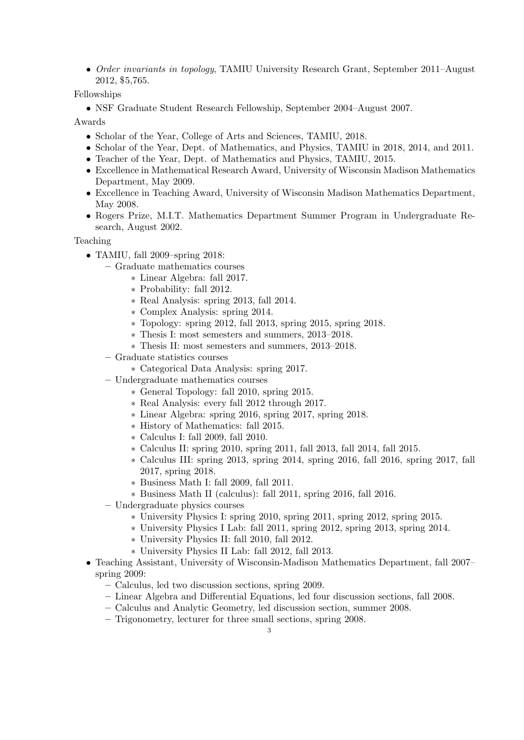• Order invariants in topology, TAMIU University Research Grant, September 2011–August 2012, \$5,765.

Fellowships

• NSF Graduate Student Research Fellowship, September 2004–August 2007.

Awards

- Scholar of the Year, College of Arts and Sciences, TAMIU, 2018.
- Scholar of the Year, Dept. of Mathematics, and Physics, TAMIU in 2018, 2014, and 2011.
- Teacher of the Year, Dept. of Mathematics and Physics, TAMIU, 2015.
- Excellence in Mathematical Research Award, University of Wisconsin Madison Mathematics Department, May 2009.
- Excellence in Teaching Award, University of Wisconsin Madison Mathematics Department, May 2008.
- Rogers Prize, M.I.T. Mathematics Department Summer Program in Undergraduate Research, August 2002.

Teaching

- TAMIU, fall 2009–spring 2018:
	- Graduate mathematics courses
		- ∗ Linear Algebra: fall 2017.
		- ∗ Probability: fall 2012.
		- ∗ Real Analysis: spring 2013, fall 2014.
		- ∗ Complex Analysis: spring 2014.
		- ∗ Topology: spring 2012, fall 2013, spring 2015, spring 2018.
		- ∗ Thesis I: most semesters and summers, 2013–2018.
		- ∗ Thesis II: most semesters and summers, 2013–2018.
	- Graduate statistics courses
		- ∗ Categorical Data Analysis: spring 2017.
	- Undergraduate mathematics courses
		- ∗ General Topology: fall 2010, spring 2015.
		- ∗ Real Analysis: every fall 2012 through 2017.
		- ∗ Linear Algebra: spring 2016, spring 2017, spring 2018.
		- ∗ History of Mathematics: fall 2015.
		- ∗ Calculus I: fall 2009, fall 2010.
		- ∗ Calculus II: spring 2010, spring 2011, fall 2013, fall 2014, fall 2015.
		- ∗ Calculus III: spring 2013, spring 2014, spring 2016, fall 2016, spring 2017, fall 2017, spring 2018.
		- ∗ Business Math I: fall 2009, fall 2011.
		- ∗ Business Math II (calculus): fall 2011, spring 2016, fall 2016.
	- Undergraduate physics courses
		- ∗ University Physics I: spring 2010, spring 2011, spring 2012, spring 2015.
		- ∗ University Physics I Lab: fall 2011, spring 2012, spring 2013, spring 2014.
		- ∗ University Physics II: fall 2010, fall 2012.
		- ∗ University Physics II Lab: fall 2012, fall 2013.
- Teaching Assistant, University of Wisconsin-Madison Mathematics Department, fall 2007– spring 2009:
	- Calculus, led two discussion sections, spring 2009.
	- Linear Algebra and Differential Equations, led four discussion sections, fall 2008.
	- Calculus and Analytic Geometry, led discussion section, summer 2008.
	- Trigonometry, lecturer for three small sections, spring 2008.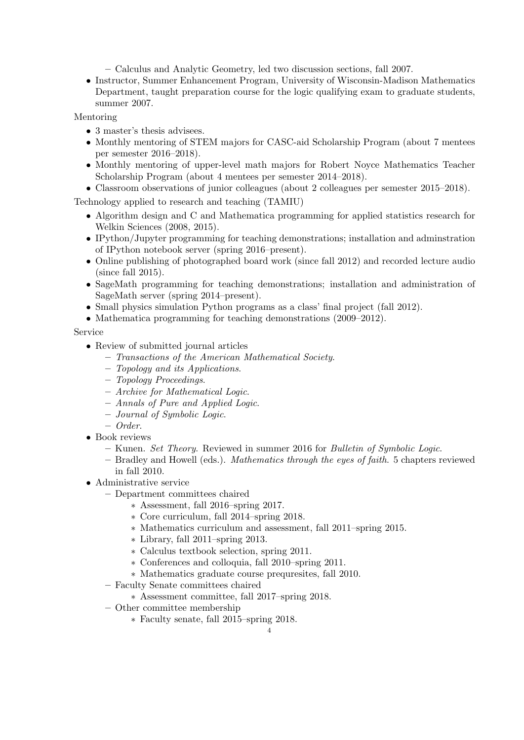– Calculus and Analytic Geometry, led two discussion sections, fall 2007.

• Instructor, Summer Enhancement Program, University of Wisconsin-Madison Mathematics Department, taught preparation course for the logic qualifying exam to graduate students, summer 2007.

Mentoring

- 3 master's thesis advisees.
- Monthly mentoring of STEM majors for CASC-aid Scholarship Program (about 7 mentees per semester 2016–2018).
- Monthly mentoring of upper-level math majors for Robert Noyce Mathematics Teacher Scholarship Program (about 4 mentees per semester 2014–2018).
- Classroom observations of junior colleagues (about 2 colleagues per semester 2015–2018).

Technology applied to research and teaching (TAMIU)

- Algorithm design and C and Mathematica programming for applied statistics research for Welkin Sciences (2008, 2015).
- IPython/Jupyter programming for teaching demonstrations; installation and adminstration of IPython notebook server (spring 2016–present).
- Online publishing of photographed board work (since fall 2012) and recorded lecture audio (since fall 2015).
- SageMath programming for teaching demonstrations; installation and administration of SageMath server (spring 2014–present).
- Small physics simulation Python programs as a class' final project (fall 2012).
- Mathematica programming for teaching demonstrations (2009–2012).

## Service

- Review of submitted journal articles
	- Transactions of the American Mathematical Society.
	- Topology and its Applications.
	- Topology Proceedings.
	- Archive for Mathematical Logic.
	- Annals of Pure and Applied Logic.
	- Journal of Symbolic Logic.
	- Order.
- Book reviews
	- Kunen. Set Theory. Reviewed in summer 2016 for Bulletin of Symbolic Logic.
	- Bradley and Howell (eds.). Mathematics through the eyes of faith. 5 chapters reviewed in fall 2010.
- Administrative service
	- Department committees chaired
		- ∗ Assessment, fall 2016–spring 2017.
		- ∗ Core curriculum, fall 2014–spring 2018.
		- ∗ Mathematics curriculum and assessment, fall 2011–spring 2015.
		- ∗ Library, fall 2011–spring 2013.
		- ∗ Calculus textbook selection, spring 2011.
		- ∗ Conferences and colloquia, fall 2010–spring 2011.
		- ∗ Mathematics graduate course prequresites, fall 2010.
	- Faculty Senate committees chaired
		- ∗ Assessment committee, fall 2017–spring 2018.
	- Other committee membership
		- ∗ Faculty senate, fall 2015–spring 2018.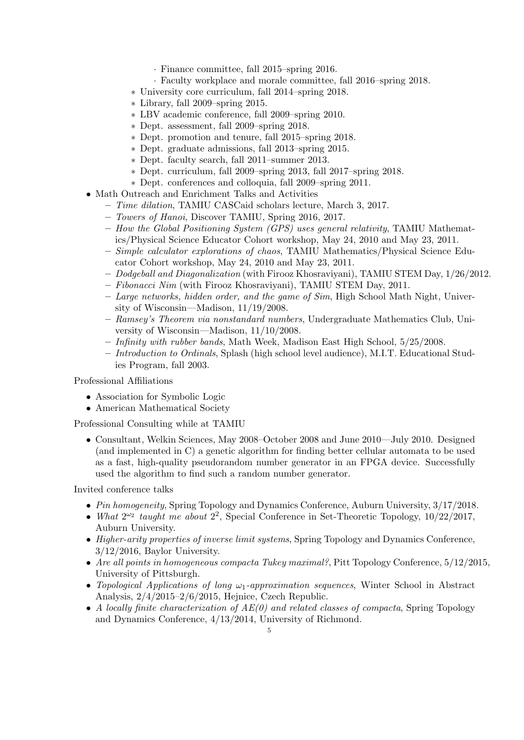- · Finance committee, fall 2015–spring 2016.
- · Faculty workplace and morale committee, fall 2016–spring 2018.
- ∗ University core curriculum, fall 2014–spring 2018.
- ∗ Library, fall 2009–spring 2015.
- ∗ LBV academic conference, fall 2009–spring 2010.
- ∗ Dept. assessment, fall 2009–spring 2018.
- ∗ Dept. promotion and tenure, fall 2015–spring 2018.
- ∗ Dept. graduate admissions, fall 2013–spring 2015.
- ∗ Dept. faculty search, fall 2011–summer 2013.
- ∗ Dept. curriculum, fall 2009–spring 2013, fall 2017–spring 2018.
- ∗ Dept. conferences and colloquia, fall 2009–spring 2011.
- Math Outreach and Enrichment Talks and Activities
	- Time dilation, TAMIU CASCaid scholars lecture, March 3, 2017.
	- Towers of Hanoi, Discover TAMIU, Spring 2016, 2017.
	- How the Global Positioning System (GPS) uses general relativity, TAMIU Mathematics/Physical Science Educator Cohort workshop, May 24, 2010 and May 23, 2011.
	- Simple calculator explorations of chaos, TAMIU Mathematics/Physical Science Educator Cohort workshop, May 24, 2010 and May 23, 2011.
	- Dodgeball and Diagonalization (with Firooz Khosraviyani), TAMIU STEM Day, 1/26/2012.
	- Fibonacci Nim (with Firooz Khosraviyani), TAMIU STEM Day, 2011.
	- Large networks, hidden order, and the game of Sim, High School Math Night, University of Wisconsin—Madison, 11/19/2008.
	- Ramsey's Theorem via nonstandard numbers, Undergraduate Mathematics Club, University of Wisconsin—Madison, 11/10/2008.
	- $-$  Infinity with rubber bands, Math Week, Madison East High School,  $5/25/2008$ .
	- Introduction to Ordinals, Splash (high school level audience), M.I.T. Educational Studies Program, fall 2003.

Professional Affiliations

- Association for Symbolic Logic
- American Mathematical Society

Professional Consulting while at TAMIU

• Consultant, Welkin Sciences, May 2008–October 2008 and June 2010—July 2010. Designed (and implemented in C) a genetic algorithm for finding better cellular automata to be used as a fast, high-quality pseudorandom number generator in an FPGA device. Successfully used the algorithm to find such a random number generator.

Invited conference talks

- Pin homogeneity, Spring Topology and Dynamics Conference, Auburn University, 3/17/2018.
- What  $2^{\omega_2}$  taught me about  $2^2$ , Special Conference in Set-Theoretic Topology,  $10/22/2017$ , Auburn University.
- Higher-arity properties of inverse limit systems, Spring Topology and Dynamics Conference, 3/12/2016, Baylor University.
- Are all points in homogeneous compacta Tukey maximal?, Pitt Topology Conference, 5/12/2015, University of Pittsburgh.
- Topological Applications of long  $\omega_1$ -approximation sequences, Winter School in Abstract Analysis, 2/4/2015–2/6/2015, Hejnice, Czech Republic.
- A locally finite characterization of  $AE(0)$  and related classes of compacta, Spring Topology and Dynamics Conference, 4/13/2014, University of Richmond.